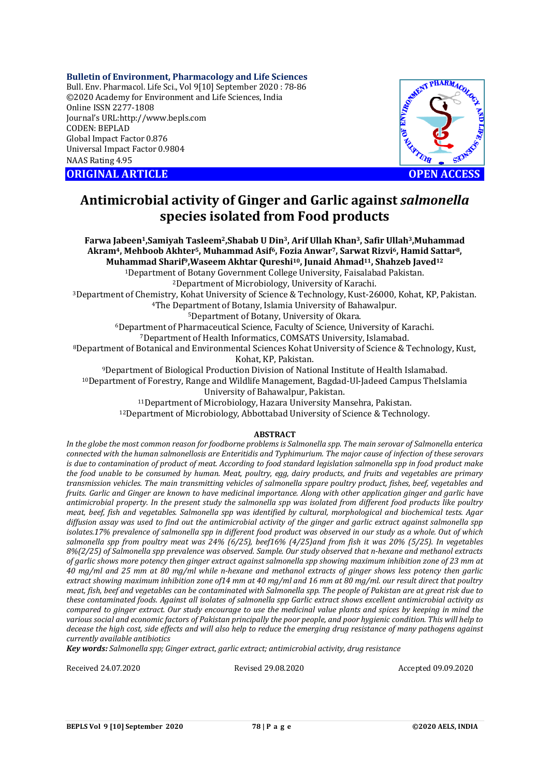### **Bulletin of Environment, Pharmacology and Life Sciences**

Bull. Env. Pharmacol. Life Sci., Vol 9[10] September 2020 : 78-86 ©2020 Academy for Environment and Life Sciences, India Online ISSN 2277-1808 Journal's URL:<http://www.bepls.com> CODEN: BEPLAD Global Impact Factor 0.876 Universal Impact Factor 0.9804 NAAS Rating 4.95





# **Antimicrobial activity of Ginger and Garlic against** *salmonella* **species isolated from Food products**

**Farwa Jabeen1,Samiyah Tasleem2,Shabab U Din3, Arif Ullah Khan3, Safir Ullah3,Muhammad Akram4, Mehboob Akhter5, Muhammad Asif6, Fozia Anwar7, Sarwat Rizvi6, Hamid Sattar8, Muhammad Sharif9,Waseem Akhtar Qureshi10, Junaid Ahmad11, Shahzeb Javed<sup>12</sup>** Department of Botany Government College University, Faisalabad Pakistan. Department of Microbiology, University of Karachi. Department of Chemistry, Kohat University of Science & Technology, Kust-26000, Kohat, KP, Pakistan. The Department of Botany, Islamia University of Bahawalpur. Department of Botany, University of Okara. Department of Pharmaceutical Science, Faculty of Science, University of Karachi. Department of Health Informatics, COMSATS University, Islamabad. Department of Botanical and Environmental Sciences Kohat University of Science & Technology, Kust, Kohat, KP, Pakistan. Department of Biological Production Division of National Institute of Health Islamabad. Department of Forestry, Range and Wildlife Management, Bagdad-Ul-Jadeed Campus TheIslamia University of Bahawalpur, Pakistan. Department of Microbiology, Hazara University Mansehra, Pakistan.

<sup>12</sup>Department of Microbiology, Abbottabad University of Science & Technology.

### **ABSTRACT**

*In the globe the most common reason for foodborne problems is Salmonella spp. The main serovar of Salmonella enterica connected with the human salmonellosis are Enteritidis and Typhimurium. The major cause of infection of these serovars is due to contamination of product of meat. According to food standard legislation salmonella spp in food product make the food unable to be consumed by human. Meat, poultry, egg, dairy products, and fruits and vegetables are primary transmission vehicles. The main transmitting vehicles of salmonella sppare poultry product, fishes, beef, vegetables and fruits. Garlic and Ginger are known to have medicinal importance. Along with other application ginger and garlic have antimicrobial property. In the present study the salmonella spp was isolated from different food products like poultry meat, beef, fish and vegetables. Salmonella spp was identified by cultural, morphological and biochemical tests. Agar diffusion assay was used to find out the antimicrobial activity of the ginger and garlic extract against salmonella spp isolates.17% prevalence of salmonella spp in different food product was observed in our study as a whole. Out of which salmonella spp from poultry meat was 24% (6/25), beef16% (4/25)and from fish it was 20% (5/25). In vegetables 8%(2/25) of Salmonella spp prevalence was observed. Sample. Our study observed that n-hexane and methanol extracts of garlic shows more potency then ginger extract against salmonella spp showing maximum inhibition zone of 23 mm at 40 mg/ml and 25 mm at 80 mg/ml while n-hexane and methanol extracts of ginger shows less potency then garlic extract showing maximum inhibition zone of14 mm at 40 mg/ml and 16 mm at 80 mg/ml. our result direct that poultry meat, fish, beef and vegetables can be contaminated with Salmonella spp. The people of Pakistan are at great risk due to these contaminated foods. Against all isolates of salmonella spp Garlic extract shows excellent antimicrobial activity as compared to ginger extract. Our study encourage to use the medicinal value plants and spices by keeping in mind the various social and economic factors of Pakistan principally the poor people, and poor hygienic condition. This will help to decease the high cost, side effects and will also help to reduce the emerging drug resistance of many pathogens against currently available antibiotics*

*Key words: Salmonella spp; Ginger extract, garlic extract; antimicrobial activity, drug resistance*

Received 24.07.2020 Revised 29.08.2020 Accepted 09.09.2020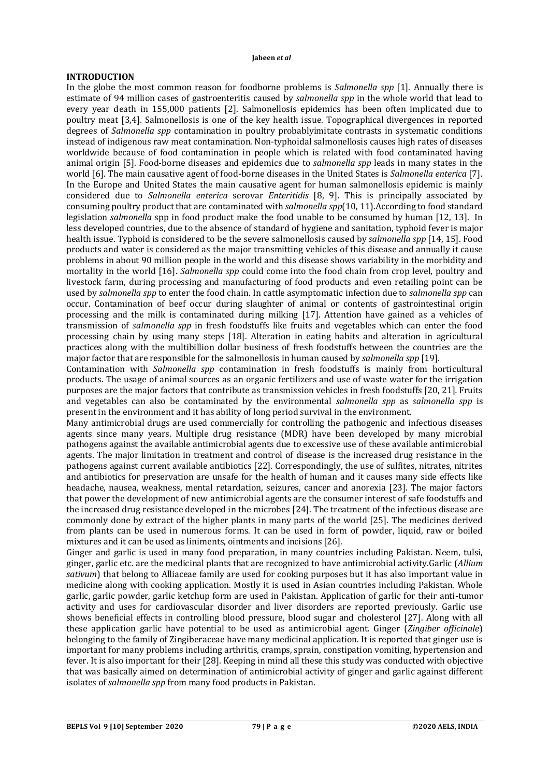# **INTRODUCTION**

In the globe the most common reason for foodborne problems is *Salmonella spp* [1]. Annually there is estimate of 94 million cases of gastroenteritis caused by *salmonella spp* in the whole world that lead to every year death in 155,000 patients [2]. Salmonellosis epidemics has been often implicated due to poultry meat [3,4]*.* Salmonellosis is one of the key health issue. Topographical divergences in reported degrees of *Salmonella spp* contamination in poultry probablyimitate contrasts in systematic conditions instead of indigenous raw meat contamination. Non-typhoidal salmonellosis causes high rates of diseases worldwide because of food contamination in people which is related with food contaminated having animal origin [5]. Food-borne diseases and epidemics due to *salmonella spp* leads in many states in the world [6]. The main causative agent of food-borne diseases in the United States is *Salmonella enterica* [7]. In the Europe and United States the main causative agent for human salmonellosis epidemic is mainly considered due to *Salmonella enterica* serovar *Enteritidis* [8, 9]. This is principally associated by consuming poultry product that are contaminated with *salmonella spp*(10, 11).According to food standard legislation *salmonella* spp in food product make the food unable to be consumed by human [12, 13]. In less developed countries, due to the absence of standard of hygiene and sanitation, typhoid fever is major health issue. Typhoid is considered to be the severe salmonellosis caused by *salmonella spp* [14, 15]. Food products and water is considered as the major transmitting vehicles of this disease and annually it cause problems in about 90 million people in the world and this disease shows variability in the morbidity and mortality in the world [16]. *Salmonella spp* could come into the food chain from crop level, poultry and livestock farm, during processing and manufacturing of food products and even retailing point can be used by *salmonella spp* to enter the food chain. In cattle asymptomatic infection due to *salmonella spp* can occur. Contamination of beef occur during slaughter of animal or contents of gastrointestinal origin processing and the milk is contaminated during milking [17]. Attention have gained as a vehicles of transmission of *salmonella spp* in fresh foodstuffs like fruits and vegetables which can enter the food processing chain by using many steps [18]. Alteration in eating habits and alteration in agricultural practices along with the multibillion dollar business of fresh foodstuffs between the countries are the major factor that are responsible for the salmonellosis in human caused by *salmonella spp* [19]*.*

Contamination with *Salmonella spp* contamination in fresh foodstuffs is mainly from horticultural products. The usage of animal sources as an organic fertilizers and use of waste water for the irrigation purposes are the major factors that contribute as transmission vehicles in fresh foodstuffs [20, 21]*.* Fruits and vegetables can also be contaminated by the environmental *salmonella spp* as *salmonella spp* is present in the environment and it has ability of long period survival in the environment.

Many antimicrobial drugs are used commercially for controlling the pathogenic and infectious diseases agents since many years. Multiple drug resistance (MDR) have been developed by many microbial pathogens against the available antimicrobial agents due to excessive use of these available antimicrobial agents. The major limitation in treatment and control of disease is the increased drug resistance in the pathogens against current available antibiotics [22]. Correspondingly, the use of sulfites, nitrates, nitrites and antibiotics for preservation are unsafe for the health of human and it causes many side effects like headache, nausea, weakness, mental retardation, seizures, cancer and anorexia [23]. The major factors that power the development of new antimicrobial agents are the consumer interest of safe foodstuffs and the increased drug resistance developed in the microbes [24]. The treatment of the infectious disease are commonly done by extract of the higher plants in many parts of the world [25]. The medicines derived from plants can be used in numerous forms. It can be used in form of powder, liquid, raw or boiled mixtures and it can be used as liniments, ointments and incisions [26].

Ginger and garlic is used in many food preparation, in many countries including Pakistan. Neem, tulsi, ginger, garlic etc. are the medicinal plants that are recognized to have antimicrobial activity.Garlic (*Allium sativum*) that belong to Alliaceae family are used for cooking purposes but it has also important value in medicine along with cooking application. Mostly it is used in Asian countries including Pakistan. Whole garlic, garlic powder, garlic ketchup form are used in Pakistan. Application of garlic for their anti-tumor activity and uses for cardiovascular disorder and liver disorders are reported previously. Garlic use shows beneficial effects in controlling blood pressure, blood sugar and cholesterol [27]. Along with all these application garlic have potential to be used as antimicrobial agent. Ginger (*Zingiber officinale*) belonging to the family of Zingiberaceae have many medicinal application. It is reported that ginger use is important for many problems including arthritis, cramps, sprain, constipation vomiting, hypertension and fever. It is also important for their [28]. Keeping in mind all these this study was conducted with objective that was basically aimed on determination of antimicrobial activity of ginger and garlic against different isolates of *salmonella spp* from many food products in Pakistan.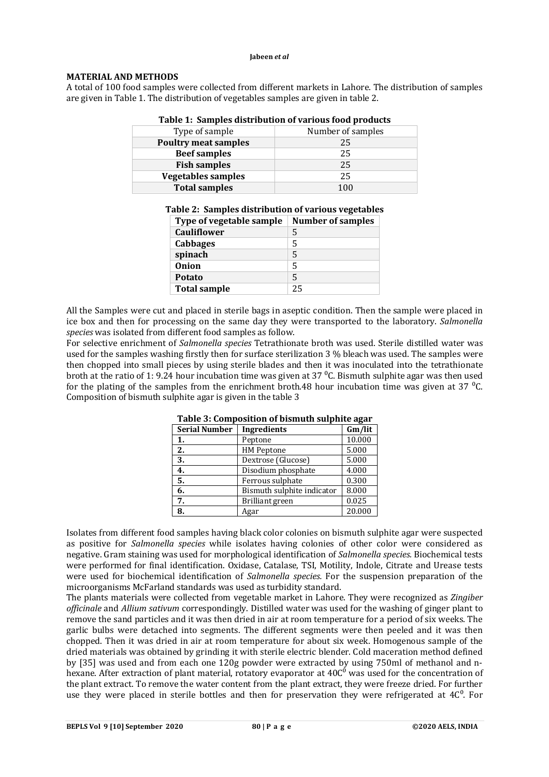# **MATERIAL AND METHODS**

A total of 100 food samples were collected from different markets in Lahore. The distribution of samples are given in Table 1. The distribution of vegetables samples are given in table 2.

| Table 1: Samples distribution of various food products |                   |  |  |  |
|--------------------------------------------------------|-------------------|--|--|--|
| Type of sample                                         | Number of samples |  |  |  |
| <b>Poultry meat samples</b>                            | 25                |  |  |  |
| <b>Beef samples</b>                                    | 25                |  |  |  |
| <b>Fish samples</b>                                    | 25                |  |  |  |
| <b>Vegetables samples</b>                              | 25                |  |  |  |
| <b>Total samples</b>                                   | 100               |  |  |  |

**Table 1: Samples distribution of various food products**

|  |  | Table 2: Samples distribution of various vegetables                                                                  |  |
|--|--|----------------------------------------------------------------------------------------------------------------------|--|
|  |  | $\mathbf{m}$ $\mathbf{c}$ $\mathbf{u}$ $\mathbf{u}$ $\mathbf{v}$ $\mathbf{u}$ $\mathbf{c}$ $\mathbf{u}$ $\mathbf{u}$ |  |

| Type of vegetable sample | <b>Number of samples</b> |
|--------------------------|--------------------------|
| <b>Cauliflower</b>       | 5                        |
| Cabbages                 | 5                        |
| spinach                  | 5                        |
| <b>Onion</b>             | 5                        |
| <b>Potato</b>            | 5                        |
| <b>Total sample</b>      | 25                       |

All the Samples were cut and placed in sterile bags in aseptic condition. Then the sample were placed in ice box and then for processing on the same day they were transported to the laboratory. *Salmonella species* was isolated from different food samples as follow.

For selective enrichment of *Salmonella species* Tetrathionate broth was used. Sterile distilled water was used for the samples washing firstly then for surface sterilization 3 % bleach was used. The samples were then chopped into small pieces by using sterile blades and then it was inoculated into the tetrathionate broth at the ratio of 1: 9.24 hour incubation time was given at 37  $\rm{^0C}$ . Bismuth sulphite agar was then used for the plating of the samples from the enrichment broth.48 hour incubation time was given at 37  $^{\circ}$ C. Composition of bismuth sulphite agar is given in the table 3

| <b>Serial Number</b> | <b>Ingredients</b>         | Gm/lit |
|----------------------|----------------------------|--------|
| 1.                   | Peptone                    | 10.000 |
| 2.                   | <b>HM Peptone</b>          | 5.000  |
| 3.                   | Dextrose (Glucose)         | 5.000  |
| 4.                   | Disodium phosphate         | 4.000  |
| 5.                   | Ferrous sulphate           | 0.300  |
| 6.                   | Bismuth sulphite indicator | 8.000  |
| 7.                   | Brilliant green            | 0.025  |
| 8.                   | Agar                       | 20.000 |

**Table 3: Composition of bismuth sulphite agar**

Isolates from different food samples having black color colonies on bismuth sulphite agar were suspected as positive for *Salmonella species* while isolates having colonies of other color were considered as negative. Gram staining was used for morphological identification of *Salmonella species.* Biochemical tests were performed for final identification. Oxidase, Catalase, TSI, Motility, Indole, Citrate and Urease tests were used for biochemical identification of *Salmonella species.* For the suspension preparation of the microorganisms McFarland standards was used as turbidity standard.

The plants materials were collected from vegetable market in Lahore. They were recognized as *Zingiber officinale* and *Allium sativum* correspondingly. Distilled water was used for the washing of ginger plant to remove the sand particles and it was then dried in air at room temperature for a period of six weeks. The garlic bulbs were detached into segments. The different segments were then peeled and it was then chopped. Then it was dried in air at room temperature for about six week. Homogenous sample of the dried materials was obtained by grinding it with sterile electric blender. Cold maceration method defined by [35] was used and from each one 120g powder were extracted by using 750ml of methanol and n- $\frac{1}{2}$  hexane. After extraction of plant material, rotatory evaporator at  $40C<sup>o</sup>$  was used for the concentration of the plant extract. To remove the water content from the plant extract, they were freeze dried. For further use they were placed in sterile bottles and then for preservation they were refrigerated at  $4C<sup>0</sup>$ . For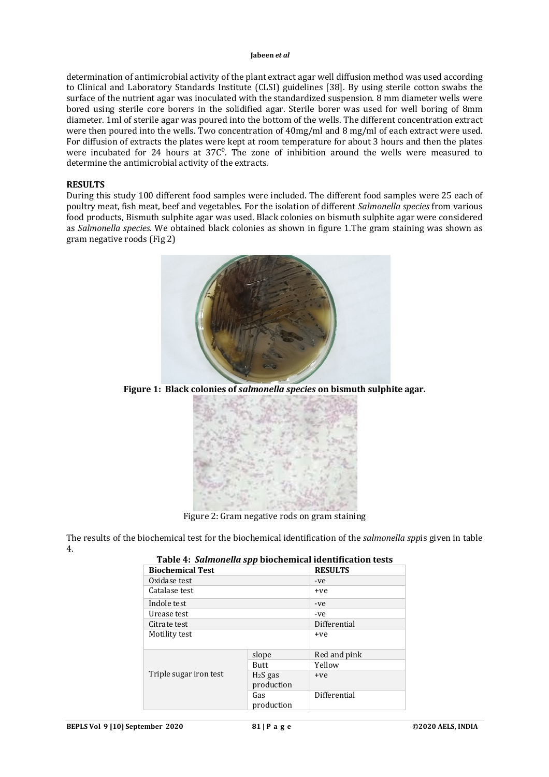determination of antimicrobial activity of the plant extract agar well diffusion method was used according to Clinical and Laboratory Standards Institute (CLSI) guidelines [38]. By using sterile cotton swabs the surface of the nutrient agar was inoculated with the standardized suspension. 8 mm diameter wells were bored using sterile core borers in the solidified agar. Sterile borer was used for well boring of 8mm diameter. 1ml of sterile agar was poured into the bottom of the wells. The different concentration extract were then poured into the wells. Two concentration of 40mg/ml and 8 mg/ml of each extract were used. For diffusion of extracts the plates were kept at room temperature for about 3 hours and then the plates were incubated for 24 hours at  $37C<sup>o</sup>$ . The zone of inhibition around the wells were measured to determine the antimicrobial activity of the extracts.

# **RESULTS**

During this study 100 different food samples were included. The different food samples were 25 each of poultry meat, fish meat, beef and vegetables. For the isolation of different *Salmonella species* from various food products, Bismuth sulphite agar was used. Black colonies on bismuth sulphite agar were considered as *Salmonella species.* We obtained black colonies as shown in figure 1.The gram staining was shown as gram negative roods (Fig 2)



**Figure 1: Black colonies of** *salmonella species* **on bismuth sulphite agar.**



Figure 2: Gram negative rods on gram staining

The results of the biochemical test for the biochemical identification of the *salmonella spp*is given in table 4.

| таріс 11 раннонена эрр біоспеннеатаспеннеатон сезез |                         |                |  |  |  |
|-----------------------------------------------------|-------------------------|----------------|--|--|--|
| <b>Biochemical Test</b>                             |                         | <b>RESULTS</b> |  |  |  |
| Oxidase test                                        |                         | -ve            |  |  |  |
| Catalase test                                       |                         | +ve            |  |  |  |
| Indole test                                         |                         | -ve            |  |  |  |
| Urease test                                         |                         | -ve            |  |  |  |
| Citrate test                                        |                         | Differential   |  |  |  |
| Motility test                                       |                         | +ve            |  |  |  |
|                                                     | slope                   | Red and pink   |  |  |  |
|                                                     | <b>Butt</b>             | Yellow         |  |  |  |
| Triple sugar iron test                              | $H2S$ gas<br>production | +ve            |  |  |  |
|                                                     | Gas<br>production       | Differential   |  |  |  |

# **Table 4:** *Salmonella spp* **biochemical identification tests**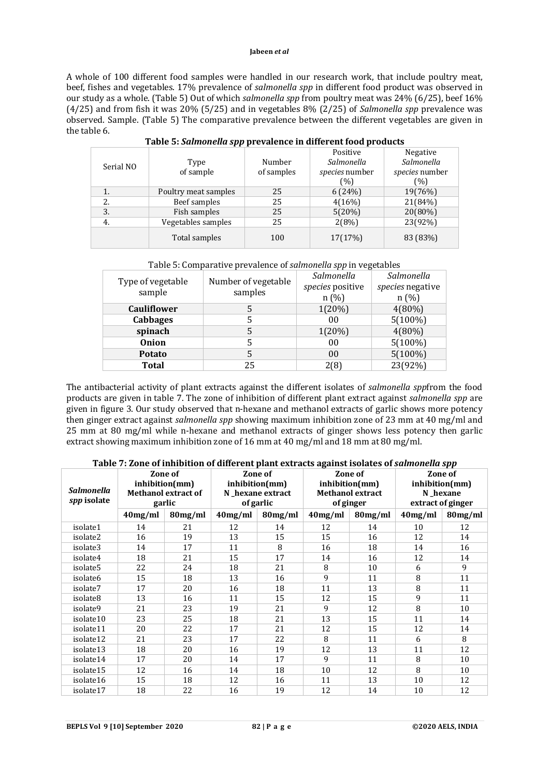A whole of 100 different food samples were handled in our research work, that include poultry meat, beef, fishes and vegetables. 17% prevalence of *salmonella spp* in different food product was observed in our study as a whole. (Table 5) Out of which *salmonella spp* from poultry meat was 24% (6/25), beef 16% (4/25) and from fish it was 20% (5/25) and in vegetables 8% (2/25) of *Salmonella spp* prevalence was observed. Sample. (Table 5) The comparative prevalence between the different vegetables are given in the table 6.

|           |                      |            | Positive              | Negative              |  |
|-----------|----------------------|------------|-----------------------|-----------------------|--|
| Serial NO | Type                 | Number     | Salmonella            | Salmonella            |  |
|           | of sample            | of samples | <i>species</i> number | <i>species</i> number |  |
|           |                      |            | (%)                   | (%)                   |  |
| 1.        | Poultry meat samples | 25         | 6(24%)                | 19(76%)               |  |
| 2.        | Beef samples         | 25         | 4(16%)                | 21(84%)               |  |
| 3.        | Fish samples         | 25         | 5(20%)                | 20(80%)               |  |
| 4.        | Vegetables samples   | 25         | 2(8%)                 | 23(92%)               |  |
|           | Total samples        | 100        | 17(17%)               | 83 (83%)              |  |

| Table 5: Salmonella spp prevalence in different food products |  |  |
|---------------------------------------------------------------|--|--|
|                                                               |  |  |

| Table 5: Comparative prevalence of salmonella spp in vegetables |  |
|-----------------------------------------------------------------|--|
|                                                                 |  |

| Type of vegetable  | Number of vegetable | Salmonella       | Salmonella       |
|--------------------|---------------------|------------------|------------------|
| sample             |                     | species positive | species negative |
|                    | samples             | n(%)             | n(%)             |
| <b>Cauliflower</b> | 5                   | 1(20%)           | $4(80\%)$        |
| <b>Cabbages</b>    | 5                   | 00               | $5(100\%)$       |
| spinach            | 5                   | 1(20%)           | $4(80\%)$        |
| <b>Onion</b>       | 5                   | 00               | $5(100\%)$       |
| Potato             | 5                   | 00               | $5(100\%)$       |
| <b>Total</b>       | 25                  | 2(8)             | 23(92%)          |

The antibacterial activity of plant extracts against the different isolates of *salmonella spp*from the food products are given in table 7. The zone of inhibition of different plant extract against *salmonella spp* are given in figure 3. Our study observed that n-hexane and methanol extracts of garlic shows more potency then ginger extract against *salmonella spp* showing maximum inhibition zone of 23 mm at 40 mg/ml and 25 mm at 80 mg/ml while n-hexane and methanol extracts of ginger shows less potency then garlic extract showing maximum inhibition zone of 16 mm at 40 mg/ml and 18 mm at 80 mg/ml.

# **Table 7: Zone of inhibition of different plant extracts against isolates of** *salmonella spp*

| Salmonella<br>spp isolate | ore 71 Lone of minoriton of unfer ent plant entrates against homes of sumfolion spp<br>Zone of<br>inhibition(mm)<br><b>Methanol extract of</b><br>garlic |         | Zone of<br>inhibition(mm)<br>N_hexane extract<br>of garlic |            | Zone of<br>inhibition(mm)<br><b>Methanol extract</b><br>of ginger |         | Zone of<br>inhibition(mm)<br>N hexane<br>extract of ginger |         |
|---------------------------|----------------------------------------------------------------------------------------------------------------------------------------------------------|---------|------------------------------------------------------------|------------|-------------------------------------------------------------------|---------|------------------------------------------------------------|---------|
|                           | $40$ mg/ml                                                                                                                                               | 80mg/ml | 40mg/ml                                                    | $80$ mg/ml | $40$ mg/ml                                                        | 80mg/ml | $40$ mg/ml                                                 | 80mg/ml |
| isolate1                  | 14                                                                                                                                                       | 21      | 12                                                         | 14         | 12                                                                | 14      | 10                                                         | 12      |
| isolate2                  | 16                                                                                                                                                       | 19      | 13                                                         | 15         | 15                                                                | 16      | 12                                                         | 14      |
| isolate3                  | 14                                                                                                                                                       | 17      | 11                                                         | 8          | 16                                                                | 18      | 14                                                         | 16      |
| isolate4                  | 18                                                                                                                                                       | 21      | 15                                                         | 17         | 14                                                                | 16      | 12                                                         | 14      |
| isolate5                  | 22                                                                                                                                                       | 24      | 18                                                         | 21         | 8                                                                 | 10      | 6                                                          | 9       |
| isolate6                  | 15                                                                                                                                                       | 18      | 13                                                         | 16         | 9                                                                 | 11      | 8                                                          | 11      |
| isolate7                  | 17                                                                                                                                                       | 20      | 16                                                         | 18         | 11                                                                | 13      | 8                                                          | 11      |
| isolate8                  | 13                                                                                                                                                       | 16      | 11                                                         | 15         | 12                                                                | 15      | 9                                                          | 11      |
| isolate9                  | 21                                                                                                                                                       | 23      | 19                                                         | 21         | 9                                                                 | 12      | 8                                                          | 10      |
| isolate10                 | 23                                                                                                                                                       | 25      | 18                                                         | 21         | 13                                                                | 15      | 11                                                         | 14      |
| isolate11                 | 20                                                                                                                                                       | 22      | 17                                                         | 21         | 12                                                                | 15      | 12                                                         | 14      |
| isolate12                 | 21                                                                                                                                                       | 23      | 17                                                         | 22         | 8                                                                 | 11      | 6                                                          | 8       |
| isolate13                 | 18                                                                                                                                                       | 20      | 16                                                         | 19         | 12                                                                | 13      | 11                                                         | 12      |
| isolate14                 | 17                                                                                                                                                       | 20      | 14                                                         | 17         | 9                                                                 | 11      | 8                                                          | 10      |
| isolate15                 | 12                                                                                                                                                       | 16      | 14                                                         | 18         | 10                                                                | 12      | 8                                                          | 10      |
| isolate16                 | 15                                                                                                                                                       | 18      | 12                                                         | 16         | 11                                                                | 13      | 10                                                         | 12      |
| isolate17                 | 18                                                                                                                                                       | 22      | 16                                                         | 19         | 12                                                                | 14      | 10                                                         | 12      |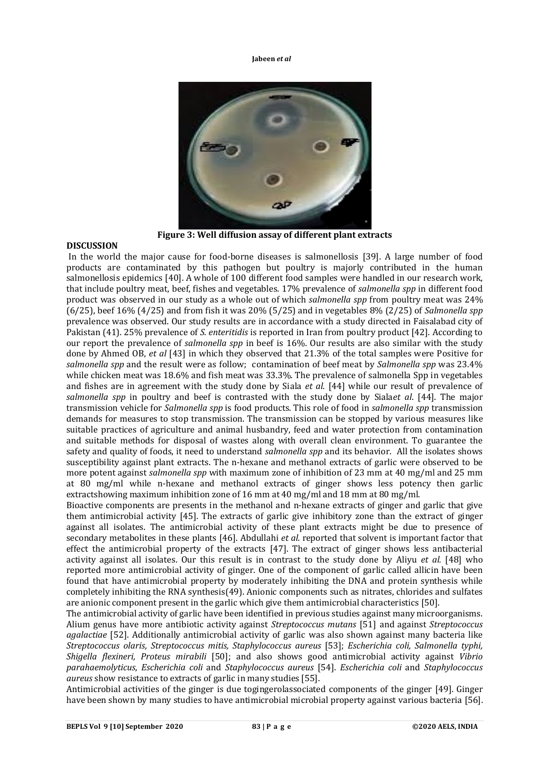

**Figure 3: Well diffusion assay of different plant extracts**

### **DISCUSSION**

In the world the major cause for food-borne diseases is salmonellosis [39]. A large number of food products are contaminated by this pathogen but poultry is majorly contributed in the human salmonellosis epidemics [40]. A whole of 100 different food samples were handled in our research work, that include poultry meat, beef, fishes and vegetables. 17% prevalence of *salmonella spp* in different food product was observed in our study as a whole out of which *salmonella spp* from poultry meat was 24% (6/25), beef 16% (4/25) and from fish it was 20% (5/25) and in vegetables 8% (2/25) of *Salmonella spp* prevalence was observed. Our study results are in accordance with a study directed in Faisalabad city of Pakistan (41). 25% prevalence of *S. enteritidis* is reported in Iran from poultry product [42]. According to our report the prevalence of *salmonella spp* in beef is 16%. Our results are also similar with the study done by Ahmed OB, *et al* [43] in which they observed that 21.3% of the total samples were Positive for *salmonella spp* and the result were as follow; contamination of beef meat by *Salmonella spp* was 23.4% while chicken meat was 18.6% and fish meat was 33.3%. The prevalence of salmonella Spp in vegetables and fishes are in agreement with the study done by Siala *et al*. [44] while our result of prevalence of *salmonella spp* in poultry and beef is contrasted with the study done by Siala*et al*. [44]. The major transmission vehicle for *Salmonella spp* is food products. This role of food in *salmonella spp* transmission demands for measures to stop transmission. The transmission can be stopped by various measures like suitable practices of agriculture and animal husbandry, feed and water protection from contamination and suitable methods for disposal of wastes along with overall clean environment. To guarantee the safety and quality of foods, it need to understand *salmonella spp* and its behavior. All the isolates shows susceptibility against plant extracts. The n-hexane and methanol extracts of garlic were observed to be more potent against *salmonella spp* with maximum zone of inhibition of 23 mm at 40 mg/ml and 25 mm at 80 mg/ml while n-hexane and methanol extracts of ginger shows less potency then garlic extractshowing maximum inhibition zone of 16 mm at 40 mg/ml and 18 mm at 80 mg/ml.

Bioactive components are presents in the methanol and n-hexane extracts of ginger and garlic that give them antimicrobial activity [45]. The extracts of garlic give inhibitory zone than the extract of ginger against all isolates. The antimicrobial activity of these plant extracts might be due to presence of secondary metabolites in these plants [46]. Abdullahi *et al.* reported that solvent is important factor that effect the antimicrobial property of the extracts [47]. The extract of ginger shows less antibacterial activity against all isolates. Our this result is in contrast to the study done by Aliyu *et al.* [48] who reported more antimicrobial activity of ginger. One of the component of garlic called allicin have been found that have antimicrobial property by moderately inhibiting the DNA and protein synthesis while completely inhibiting the RNA synthesis(49). Anionic components such as nitrates, chlorides and sulfates are anionic component present in the garlic which give them antimicrobial characteristics [50].

The antimicrobial activity of garlic have been identified in previous studies against many microorganisms. Alium genus have more antibiotic activity against *Streptococcus mutans* [51] and against *Streptococcus agalactiae* [52]. Additionally antimicrobial activity of garlic was also shown against many bacteria like *Streptococcus olaris, Streptococcus mitis, Staphylococcus aureus* [53]; *Escherichia coli, Salmonella typhi, Shigella flexineri, Proteus mirabili* [50]; and also shows good antimicrobial activity against *Vibrio parahaemolyticus*, *Escherichia coli* and *Staphylococcus aureus* [54]. *Escherichia coli* and *Staphylococcus aureus* show resistance to extracts of garlic in many studies [55].

Antimicrobial activities of the ginger is due togingerolassociated components of the ginger [49]. Ginger have been shown by many studies to have antimicrobial microbial property against various bacteria [56].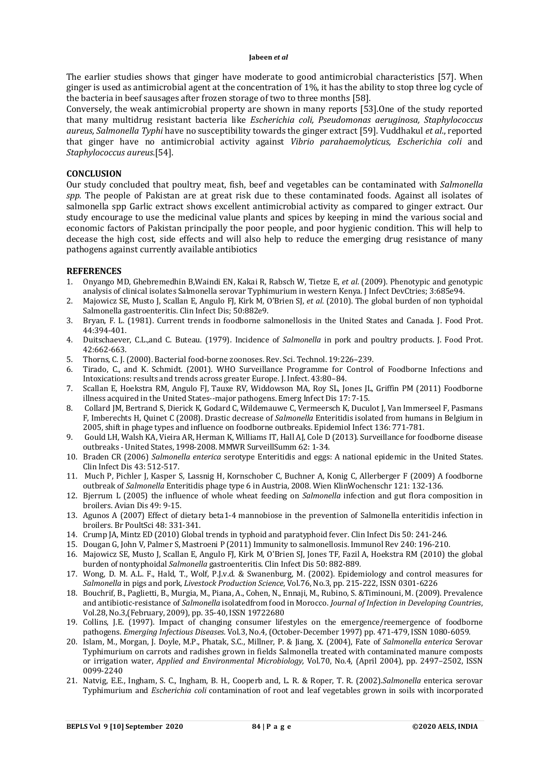The earlier studies shows that ginger have moderate to good antimicrobial characteristics [57]. When ginger is used as antimicrobial agent at the concentration of 1%, it has the ability to stop three log cycle of the bacteria in beef sausages after frozen storage of two to three months [58].

Conversely, the weak antimicrobial property are shown in many reports [53].One of the study reported that many multidrug resistant bacteria like *Escherichia coli, Pseudomonas aeruginosa, Staphylococcus aureus, Salmonella Typhi* have no susceptibility towards the ginger extract [59]. Vuddhakul *et al*., reported that ginger have no antimicrobial activity against *Vibrio parahaemolyticus, Escherichia coli* and *Staphylococcus aureus.*[54].

### **CONCLUSION**

Our study concluded that poultry meat, fish, beef and vegetables can be contaminated with *Salmonella spp.* The people of Pakistan are at great risk due to these contaminated foods. Against all isolates of salmonella spp Garlic extract shows excellent antimicrobial activity as compared to ginger extract. Our study encourage to use the medicinal value plants and spices by keeping in mind the various social and economic factors of Pakistan principally the poor people, and poor hygienic condition. This will help to decease the high cost, side effects and will also help to reduce the emerging drug resistance of many pathogens against currently available antibiotics

### **REFERENCES**

- 1. Onyango MD, Ghebremedhin B,Waindi EN, Kakai R, Rabsch W, Tietze E, *et al*. (2009). Phenotypic and genotypic analysis of clinical isolates Salmonella serovar Typhimurium in western Kenya. J Infect DevCtries; 3:685e94.
- 2. Majowicz SE, Musto J, Scallan E, Angulo FJ, Kirk M, O'Brien SJ, *et al*. (2010). The global burden of non typhoidal Salmonella gastroenteritis. Clin Infect Dis; 50:882e9.
- 3. Bryan, F. L. (1981). Current trends in foodborne salmonellosis in the United States and Canada. J. Food Prot. 44:394-401.
- 4. Duitschaever, C.L.,and C. Buteau. (1979). Incidence of *Salmonella* in pork and poultry products. J. Food Prot. 42:662-663.
- 5. Thorns, C. J. (2000). Bacterial food-borne zoonoses. Rev. Sci. Technol. 19:226–239.
- 6. Tirado, C., and K. Schmidt. (2001). WHO Surveillance Programme for Control of Foodborne Infections and Intoxications: results and trends across greater Europe. J. Infect. 43:80–84.
- 7. Scallan E, Hoekstra RM, Angulo FJ, Tauxe RV, Widdowson MA, Roy SL, Jones JL, Griffin PM (2011) Foodborne illness acquired in the United States--major pathogens. Emerg Infect Dis 17: 7-15*.*
- 8. Collard JM, Bertrand S, Dierick K, Godard C, Wildemauwe C, Vermeersch K, Duculot J, Van Immerseel F, Pasmans F, Imberechts H, Quinet C (2008). Drastic decrease of *Salmonella* Enteritidis isolated from humans in Belgium in 2005, shift in phage types and influence on foodborne outbreaks. Epidemiol Infect 136: 771-781.
- 9. Gould LH, Walsh KA, Vieira AR, Herman K, Williams IT, Hall AJ, Cole D (2013). Surveillance for foodborne disease outbreaks - United States, 1998-2008. MMWR SurveillSumm 62: 1-34*.*
- 10. Braden CR (2006) *Salmonella enterica* serotype Enteritidis and eggs: A national epidemic in the United States. Clin Infect Dis 43: 512-517.
- 11. Much P, Pichler J, Kasper S, Lassnig H, Kornschober C, Buchner A, Konig C, Allerberger F (2009) A foodborne outbreak of *Salmonella* Enteritidis phage type 6 in Austria, 2008. Wien KlinWochenschr 121: 132-136*.*
- 12. Bjerrum L (2005) the influence of whole wheat feeding on *Salmonella* infection and gut flora composition in broilers. Avian Dis 49: 9-15.
- 13. Agunos A (2007) Effect of dietary beta1-4 mannobiose in the prevention of Salmonella enteritidis infection in broilers. Br PoultSci 48: 331-341.
- 14. Crump JA, Mintz ED (2010) Global trends in typhoid and paratyphoid fever. Clin Infect Dis 50: 241-246.
- 15. Dougan G, John V, Palmer S, Mastroeni P (2011) Immunity to salmonellosis. Immunol Rev 240: 196-210.
- 16. Majowicz SE, Musto J, Scallan E, Angulo FJ, Kirk M, O'Brien SJ, Jones TF, Fazil A, Hoekstra RM (2010) the global burden of nontyphoidal *Salmonella* gastroenteritis. Clin Infect Dis 50: 882-889*.*
- 17. Wong, D. M. A.L. F., Hald, T., Wolf, P.J.v.d. & Swanenburg, M. (2002). Epidemiology and control measures for *Salmonella* in pigs and pork, *Livestock Production Science*, Vol.76, No.3, pp. 215-222, ISSN 0301-6226
- 18. Bouchrif, B., Paglietti, B., Murgia, M., Piana, A., Cohen, N., Ennaji, M., Rubino, S. &Timinouni, M. (2009). Prevalence and antibiotic-resistance of *Salmonella* isolatedfrom food in Morocco. *Journal of Infection in Developing Countries*, Vol.28, No.3,(February, 2009), pp. 35-40, ISSN 19722680
- 19. Collins, J.E. (1997). Impact of changing consumer lifestyles on the emergence/reemergence of foodborne pathogens. *Emerging Infectious Diseases.* Vol.3, No.4, (October-December 1997) pp. 471-479, ISSN 1080-6059.
- 20. Islam, M., Morgan, J. Doyle, M.P., Phatak, S.C., Millner, P. & Jiang, X. (2004), Fate of *Salmonella enterica* Serovar Typhimurium on carrots and radishes grown in fields Salmonella treated with contaminated manure composts or irrigation water, *Applied and Environmental Microbiology,* Vol.70, No.4, (April 2004), pp. 2497–2502, ISSN 0099-2240
- 21. Natvig, E.E., Ingham, S. C., Ingham, B. H., Cooperb and, L. R. & Roper, T. R. (2002).*Salmonella* enterica serovar Typhimurium and *Escherichia coli* contamination of root and leaf vegetables grown in soils with incorporated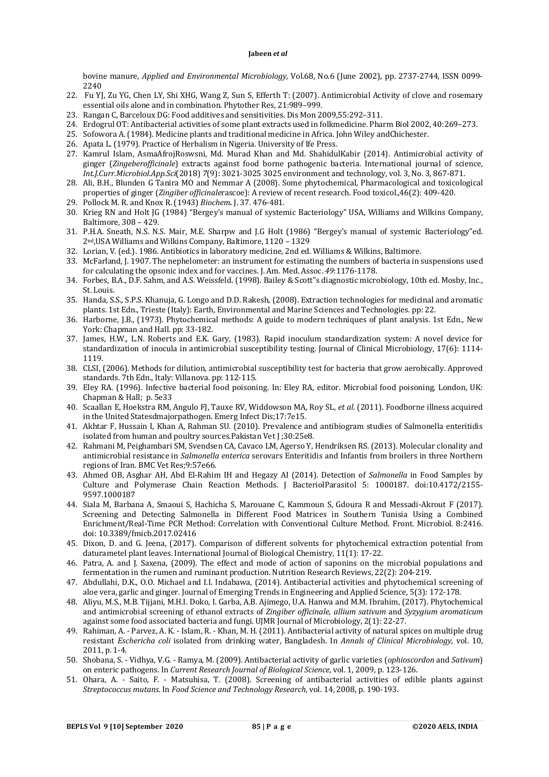bovine manure, *Applied and Environmental Microbiology,* Vol.68, No.6 (June 2002), pp. 2737-2744, ISSN 0099- 2240

- 22. Fu YJ, Zu YG, Chen LY, Shi XHG, Wang Z, Sun S, Efferth T: (2007). Antimicrobial Activity of clove and rosemary essential oils alone and in combination. Phytother Res, 21:989–999.
- 23. Rangan C, Barceloux DG: Food additives and sensitivities. Dis Mon 2009,55:292–311.
- 24. Erdogrul OT: Antibacterial activities of some plant extracts used in folkmedicine. Pharm Biol 2002, 40:269–273.
- 25. Sofowora A. (1984). Medicine plants and traditional medicine in Africa. John Wiley andChichester.
- 26. Apata L. (1979). Practice of Herbalism in Nigeria. University of Ife Press.
- 27. Kamrul Islam, AsmaAfrojRoswsni, Md. Murad Khan and Md. ShahidulKabir (2014). Antimicrobial activity of ginger (*Zingeberofficinale*) extracts against food borne pathogenic bacteria. International journal of science, *Int.J.Curr.Microbiol.App.Sci*(2018) *7*(9): 3021-3025 3025 environment and technology, vol. 3, No. 3, 867-871.
- 28. Ali, B.H., Blunden G Tanira MO and Nemmar A (2008). Some phytochemical, Pharmacological and toxicological properties of ginger (*Zingiber officinale*rascoe): A review of recent research. Food toxicol.,46(2): 409-420.
- 29. Pollock M. R. and Knox R. (1943) *Biochem.* J. 37. 476-481.
- 30. Krieg RN and Holt JG (1984) "Bergey's manual of systemic Bacteriology" USA, Williams and Wilkins Company, Baltimore, 308 – 429.
- 31. P.H.A. Sneath, N.S. N.S. Mair, M.E. Sharpw and J.G Holt (1986) "Bergey's manual of systemic Bacteriology"ed. 2nd,USA Williams and Wilkins Company, Baltimore, 1120 – 1329
- 32. Lorian, V. (ed.). 1986. Antibiotics in laboratory medicine, 2nd ed. Williams & Wilkins, Baltimore.
- 33. McFarland, J. 1907. The nephelometer: an instrument for estimating the numbers of bacteria in suspensions used for calculating the opsonic index and for vaccines. J. Am. Med. Assoc. *49*:1176-1178.
- 34. Forbes, B.A., D.F. Sahm, and A.S. Weissfeld. (1998). Bailey & Scott"s diagnostic microbiology, 10th ed. Mosby, Inc., St. Louis.
- 35. Handa, S.S., S.P.S. Khanuja, G. Longo and D.D. Rakesh, (2008). Extraction technologies for medicinal and aromatic plants. 1st Edn., Trieste (Italy): Earth, Environmental and Marine Sciences and Technologies. pp: 22.
- 36. Harborne, J.B., (1973). Phytochemical methods: A guide to modern techniques of plant analysis. 1st Edn., New York: Chapman and Hall. pp: 33-182.
- 37. James, H.W., L.N. Roberts and E.K. Gary, (1983). Rapid inoculum standardization system: A novel device for standardization of inocula in antimicrobial susceptibility testing. Journal of Clinical Microbiology, 17(6): 1114- 1119.
- 38. CLSI, (2006). Methods for dilution, antimicrobial susceptibility test for bacteria that grow aerobically. Approved standards. 7th Edn., Italy: Villanova. pp: 112-115.
- 39. Eley RA. (1996). Infective bacterial food poisoning. In: Eley RA, editor. Microbial food poisoning. London, UK: Chapman & Hall; p. 5e33
- 40. Scaallan E, Hoekstra RM, Angulo FJ, Tauxe RV, Widdowson MA, Roy SL, *et al*. (2011). Foodborne illness acquired in the United Statesdmajorpathogen. Emerg Infect Dis;17:7e15.
- 41. Akhtar F, Hussain I, Khan A, Rahman SU. (2010). Prevalence and antibiogram studies of Salmonella enteritidis isolated from human and poultry sources.Pakistan Vet J ;30:25e8.
- 42. Rahmani M, Peighambari SM, Svendsen CA, Cavaco LM, Agerso Y, Hendriksen RS. (2013). Molecular clonality and antimicrobial resistance in *Salmonella enterica* serovars Enteritidis and Infantis from broilers in three Northern regions of Iran. BMC Vet Res;9:57e66.
- 43. Ahmed OB, Asghar AH, Abd El-Rahim IH and Hegazy AI (2014). Detection of *Salmonella* in Food Samples by Culture and Polymerase Chain Reaction Methods. J BacteriolParasitol 5: 1000187. doi:10.4172/2155- 9597.1000187
- 44. Siala M, Barbana A, Smaoui S, Hachicha S, Marouane C, Kammoun S, Gdoura R and Messadi-Akrout F (2017). Screening and Detecting Salmonella in Different Food Matrices in Southern Tunisia Using a Combined Enrichment/Real-Time PCR Method: Correlation with Conventional Culture Method. Front. Microbiol. 8:2416. doi: 10.3389/fmicb.2017.02416
- 45. Dixon, D. and G. Jeena, (2017). Comparison of different solvents for phytochemical extraction potential from daturametel plant leaves. International Journal of Biological Chemistry, 11(1): 17-22.
- 46. Patra, A. and J. Saxena, (2009). The effect and mode of action of saponins on the microbial populations and fermentation in the rumen and ruminant production. Nutrition Research Reviews, 22(2): 204-219.
- 47. Abdullahi, D.K., O.O. Michael and I.I. Indabawa, (2014). Antibacterial activities and phytochemical screening of aloe vera, garlic and ginger. Journal of Emerging Trends in Engineering and Applied Science, 5(3): 172-178.
- 48. Aliyu, M.S., M.B. Tijjani, M.H.I. Doko, I. Garba, A.B. Ajimego, U.A. Hanwa and M.M. Ibrahim, (2017). Phytochemical and antimicrobial screening of ethanol extracts of *Zingiber officinale, allium sativum* and *Syzygium aromaticum* against some food associated bacteria and fungi. UJMR Journal of Microbiology, 2(1): 22-27.
- 49. Rahiman, A. Parvez, A. K. Islam, R. Khan, M. H. (2011). Antibacterial activity of natural spices on multiple drug resistant *Eschericha coli* isolated from drinking water, Bangladesh. In *Annals of Clinical Microbiology*, vol. 10, 2011, p. 1-4.
- 50. Shobana, S. Vidhya, V.G. Ramya, M. (2009). Antibacterial activity of garlic varieties (*ophioscordon* and *Sativum*) on enteric pathogens. In *Current Research Journal of Biological Science*, vol. 1, 2009, p. 123-126.
- 51. Ohara, A. Saito, F. Matsuhisa, T. (2008). Screening of antibacterial activities of edible plants against *Streptococcus mutans*. In *Food Science and Technology Research*, vol. 14, 2008, p. 190-193.